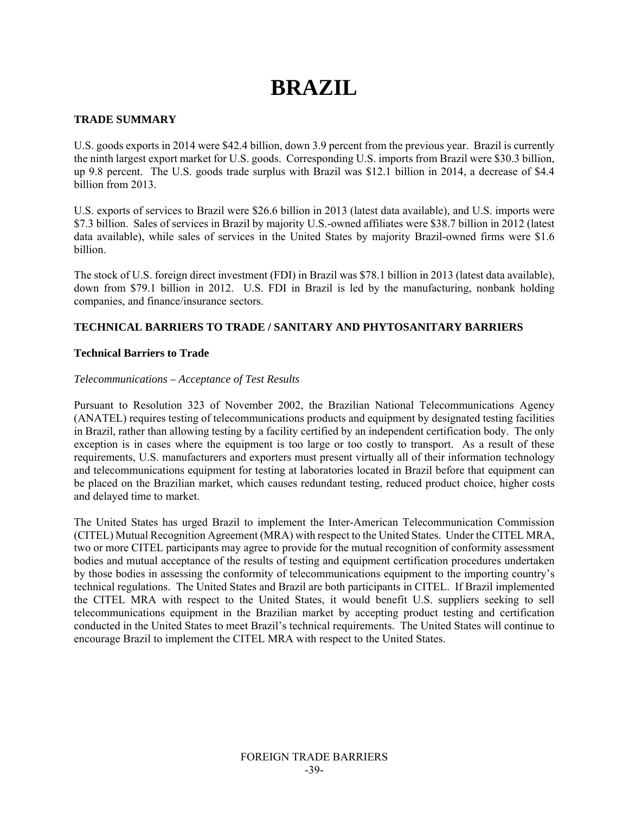# **BRAZIL**

# **TRADE SUMMARY**

U.S. goods exports in 2014 were \$42.4 billion, down 3.9 percent from the previous year. Brazil is currently the ninth largest export market for U.S. goods. Corresponding U.S. imports from Brazil were \$30.3 billion, up 9.8 percent. The U.S. goods trade surplus with Brazil was \$12.1 billion in 2014, a decrease of \$4.4 billion from 2013.

U.S. exports of services to Brazil were \$26.6 billion in 2013 (latest data available), and U.S. imports were \$7.3 billion. Sales of services in Brazil by majority U.S.-owned affiliates were \$38.7 billion in 2012 (latest data available), while sales of services in the United States by majority Brazil-owned firms were \$1.6 billion.

The stock of U.S. foreign direct investment (FDI) in Brazil was \$78.1 billion in 2013 (latest data available), down from \$79.1 billion in 2012. U.S. FDI in Brazil is led by the manufacturing, nonbank holding companies, and finance/insurance sectors.

# **TECHNICAL BARRIERS TO TRADE / SANITARY AND PHYTOSANITARY BARRIERS**

## **Technical Barriers to Trade**

#### *Telecommunications – Acceptance of Test Results*

Pursuant to Resolution 323 of November 2002, the Brazilian National Telecommunications Agency (ANATEL) requires testing of telecommunications products and equipment by designated testing facilities in Brazil, rather than allowing testing by a facility certified by an independent certification body. The only exception is in cases where the equipment is too large or too costly to transport. As a result of these requirements, U.S. manufacturers and exporters must present virtually all of their information technology and telecommunications equipment for testing at laboratories located in Brazil before that equipment can be placed on the Brazilian market, which causes redundant testing, reduced product choice, higher costs and delayed time to market.

The United States has urged Brazil to implement the Inter-American Telecommunication Commission (CITEL) Mutual Recognition Agreement (MRA) with respect to the United States. Under the CITEL MRA, two or more CITEL participants may agree to provide for the mutual recognition of conformity assessment bodies and mutual acceptance of the results of testing and equipment certification procedures undertaken by those bodies in assessing the conformity of telecommunications equipment to the importing country's technical regulations. The United States and Brazil are both participants in CITEL. If Brazil implemented the CITEL MRA with respect to the United States, it would benefit U.S. suppliers seeking to sell telecommunications equipment in the Brazilian market by accepting product testing and certification conducted in the United States to meet Brazil's technical requirements. The United States will continue to encourage Brazil to implement the CITEL MRA with respect to the United States.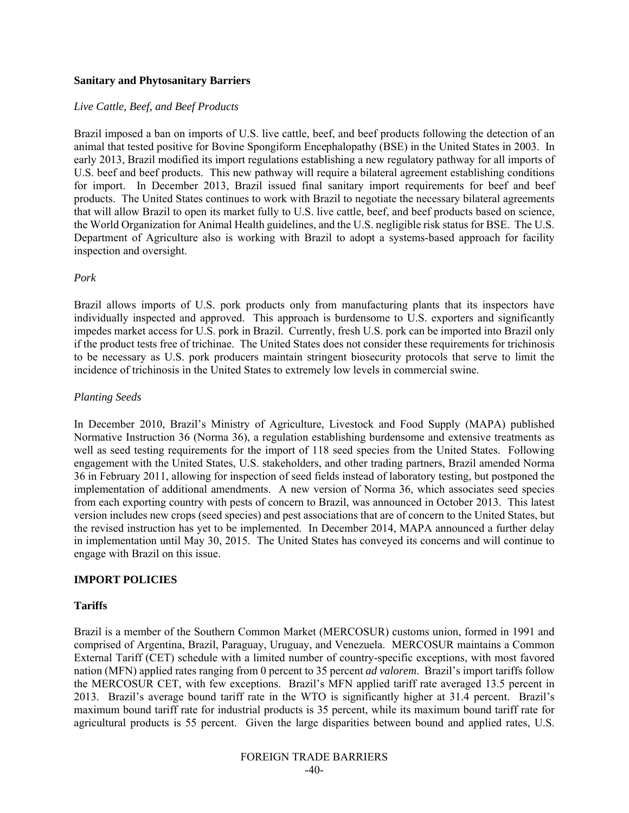#### **Sanitary and Phytosanitary Barriers**

#### *Live Cattle, Beef, and Beef Products*

Brazil imposed a ban on imports of U.S. live cattle, beef, and beef products following the detection of an animal that tested positive for Bovine Spongiform Encephalopathy (BSE) in the United States in 2003. In early 2013, Brazil modified its import regulations establishing a new regulatory pathway for all imports of U.S. beef and beef products. This new pathway will require a bilateral agreement establishing conditions for import. In December 2013, Brazil issued final sanitary import requirements for beef and beef products. The United States continues to work with Brazil to negotiate the necessary bilateral agreements that will allow Brazil to open its market fully to U.S. live cattle, beef, and beef products based on science, the World Organization for Animal Health guidelines, and the U.S. negligible risk status for BSE. The U.S. Department of Agriculture also is working with Brazil to adopt a systems-based approach for facility inspection and oversight.

#### *Pork*

Brazil allows imports of U.S. pork products only from manufacturing plants that its inspectors have individually inspected and approved. This approach is burdensome to U.S. exporters and significantly impedes market access for U.S. pork in Brazil. Currently, fresh U.S. pork can be imported into Brazil only if the product tests free of trichinae. The United States does not consider these requirements for trichinosis to be necessary as U.S. pork producers maintain stringent biosecurity protocols that serve to limit the incidence of trichinosis in the United States to extremely low levels in commercial swine.

#### *Planting Seeds*

In December 2010, Brazil's Ministry of Agriculture, Livestock and Food Supply (MAPA) published Normative Instruction 36 (Norma 36), a regulation establishing burdensome and extensive treatments as well as seed testing requirements for the import of 118 seed species from the United States. Following engagement with the United States, U.S. stakeholders, and other trading partners, Brazil amended Norma 36 in February 2011, allowing for inspection of seed fields instead of laboratory testing, but postponed the implementation of additional amendments. A new version of Norma 36, which associates seed species from each exporting country with pests of concern to Brazil, was announced in October 2013. This latest version includes new crops (seed species) and pest associations that are of concern to the United States, but the revised instruction has yet to be implemented. In December 2014, MAPA announced a further delay in implementation until May 30, 2015. The United States has conveyed its concerns and will continue to engage with Brazil on this issue.

## **IMPORT POLICIES**

## **Tariffs**

Brazil is a member of the Southern Common Market (MERCOSUR) customs union, formed in 1991 and comprised of Argentina, Brazil, Paraguay, Uruguay, and Venezuela. MERCOSUR maintains a Common External Tariff (CET) schedule with a limited number of country-specific exceptions, with most favored nation (MFN) applied rates ranging from 0 percent to 35 percent *ad valorem*. Brazil's import tariffs follow the MERCOSUR CET, with few exceptions. Brazil's MFN applied tariff rate averaged 13.5 percent in 2013. Brazil's average bound tariff rate in the WTO is significantly higher at 31.4 percent. Brazil's maximum bound tariff rate for industrial products is 35 percent, while its maximum bound tariff rate for agricultural products is 55 percent. Given the large disparities between bound and applied rates, U.S.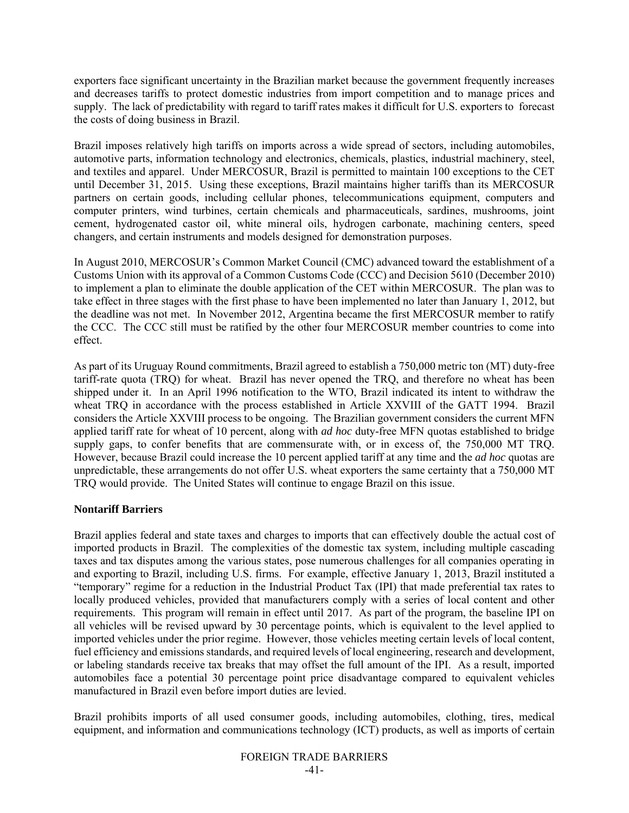exporters face significant uncertainty in the Brazilian market because the government frequently increases and decreases tariffs to protect domestic industries from import competition and to manage prices and supply. The lack of predictability with regard to tariff rates makes it difficult for U.S. exporters to forecast the costs of doing business in Brazil.

Brazil imposes relatively high tariffs on imports across a wide spread of sectors, including automobiles, automotive parts, information technology and electronics, chemicals, plastics, industrial machinery, steel, and textiles and apparel. Under MERCOSUR, Brazil is permitted to maintain 100 exceptions to the CET until December 31, 2015. Using these exceptions, Brazil maintains higher tariffs than its MERCOSUR partners on certain goods, including cellular phones, telecommunications equipment, computers and computer printers, wind turbines, certain chemicals and pharmaceuticals, sardines, mushrooms, joint cement, hydrogenated castor oil, white mineral oils, hydrogen carbonate, machining centers, speed changers, and certain instruments and models designed for demonstration purposes.

In August 2010, MERCOSUR's Common Market Council (CMC) advanced toward the establishment of a Customs Union with its approval of a Common Customs Code (CCC) and Decision 5610 (December 2010) to implement a plan to eliminate the double application of the CET within MERCOSUR. The plan was to take effect in three stages with the first phase to have been implemented no later than January 1, 2012, but the deadline was not met. In November 2012, Argentina became the first MERCOSUR member to ratify the CCC. The CCC still must be ratified by the other four MERCOSUR member countries to come into effect.

As part of its Uruguay Round commitments, Brazil agreed to establish a 750,000 metric ton (MT) duty-free tariff-rate quota (TRQ) for wheat. Brazil has never opened the TRQ, and therefore no wheat has been shipped under it. In an April 1996 notification to the WTO, Brazil indicated its intent to withdraw the wheat TRQ in accordance with the process established in Article XXVIII of the GATT 1994. Brazil considers the Article XXVIII process to be ongoing. The Brazilian government considers the current MFN applied tariff rate for wheat of 10 percent, along with *ad hoc* duty-free MFN quotas established to bridge supply gaps, to confer benefits that are commensurate with, or in excess of, the 750,000 MT TRO. However, because Brazil could increase the 10 percent applied tariff at any time and the *ad hoc* quotas are unpredictable, these arrangements do not offer U.S. wheat exporters the same certainty that a  $750,000$  MT TRQ would provide.The United States will continue to engage Brazil on this issue.

## **Nontariff Barriers**

Brazil applies federal and state taxes and charges to imports that can effectively double the actual cost of imported products in Brazil. The complexities of the domestic tax system, including multiple cascading taxes and tax disputes among the various states, pose numerous challenges for all companies operating in and exporting to Brazil, including U.S. firms. For example, effective January 1, 2013, Brazil instituted a "temporary" regime for a reduction in the Industrial Product Tax (IPI) that made preferential tax rates to locally produced vehicles, provided that manufacturers comply with a series of local content and other requirements. This program will remain in effect until 2017. As part of the program, the baseline IPI on all vehicles will be revised upward by 30 percentage points, which is equivalent to the level applied to imported vehicles under the prior regime. However, those vehicles meeting certain levels of local content, fuel efficiency and emissions standards, and required levels of local engineering, research and development, or labeling standards receive tax breaks that may offset the full amount of the IPI. As a result, imported automobiles face a potential 30 percentage point price disadvantage compared to equivalent vehicles manufactured in Brazil even before import duties are levied.

Brazil prohibits imports of all used consumer goods, including automobiles, clothing, tires, medical equipment, and information and communications technology (ICT) products, as well as imports of certain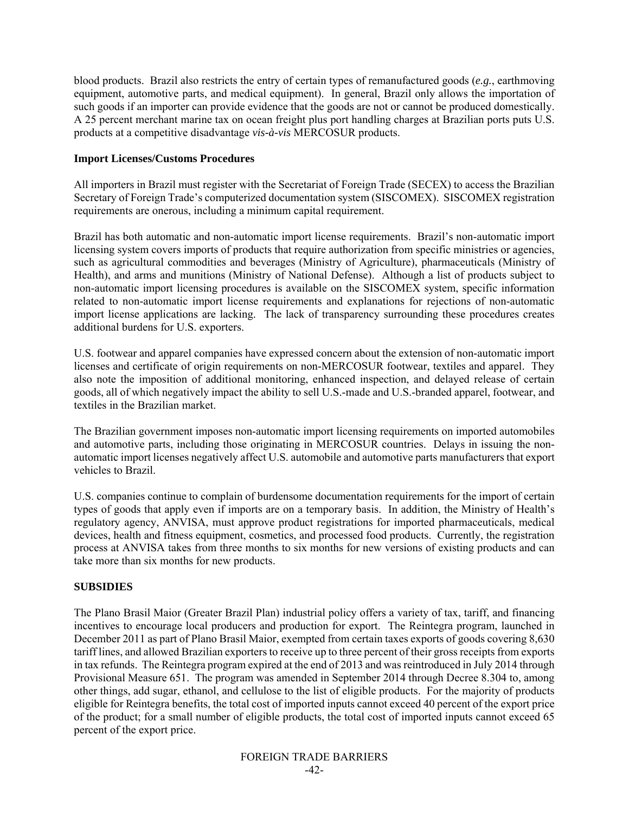blood products. Brazil also restricts the entry of certain types of remanufactured goods (*e.g.*, earthmoving equipment, automotive parts, and medical equipment). In general, Brazil only allows the importation of such goods if an importer can provide evidence that the goods are not or cannot be produced domestically. A 25 percent merchant marine tax on ocean freight plus port handling charges at Brazilian ports puts U.S. products at a competitive disadvantage *vis-à-vis* MERCOSUR products.

## **Import Licenses/Customs Procedures**

All importers in Brazil must register with the Secretariat of Foreign Trade (SECEX) to access the Brazilian Secretary of Foreign Trade's computerized documentation system (SISCOMEX). SISCOMEX registration requirements are onerous, including a minimum capital requirement.

Brazil has both automatic and non-automatic import license requirements. Brazil's non-automatic import licensing system covers imports of products that require authorization from specific ministries or agencies, such as agricultural commodities and beverages (Ministry of Agriculture), pharmaceuticals (Ministry of Health), and arms and munitions (Ministry of National Defense). Although a list of products subject to non-automatic import licensing procedures is available on the SISCOMEX system, specific information related to non-automatic import license requirements and explanations for rejections of non-automatic import license applications are lacking. The lack of transparency surrounding these procedures creates additional burdens for U.S. exporters.

U.S. footwear and apparel companies have expressed concern about the extension of non-automatic import licenses and certificate of origin requirements on non-MERCOSUR footwear, textiles and apparel. They also note the imposition of additional monitoring, enhanced inspection, and delayed release of certain goods, all of which negatively impact the ability to sell U.S.-made and U.S.-branded apparel, footwear, and textiles in the Brazilian market.

The Brazilian government imposes non-automatic import licensing requirements on imported automobiles and automotive parts, including those originating in MERCOSUR countries. Delays in issuing the nonautomatic import licenses negatively affect U.S. automobile and automotive parts manufacturers that export vehicles to Brazil.

U.S. companies continue to complain of burdensome documentation requirements for the import of certain types of goods that apply even if imports are on a temporary basis. In addition, the Ministry of Health's regulatory agency, ANVISA, must approve product registrations for imported pharmaceuticals, medical devices, health and fitness equipment, cosmetics, and processed food products. Currently, the registration process at ANVISA takes from three months to six months for new versions of existing products and can take more than six months for new products.

# **SUBSIDIES**

The Plano Brasil Maior (Greater Brazil Plan) industrial policy offers a variety of tax, tariff, and financing incentives to encourage local producers and production for export. The Reintegra program, launched in December 2011 as part of Plano Brasil Maior, exempted from certain taxes exports of goods covering 8,630 tariff lines, and allowed Brazilian exporters to receive up to three percent of their gross receipts from exports in tax refunds. The Reintegra program expired at the end of 2013 and was reintroduced in July 2014 through Provisional Measure 651. The program was amended in September 2014 through Decree 8.304 to, among other things, add sugar, ethanol, and cellulose to the list of eligible products. For the majority of products eligible for Reintegra benefits, the total cost of imported inputs cannot exceed 40 percent of the export price of the product; for a small number of eligible products, the total cost of imported inputs cannot exceed 65 percent of the export price.

> FOREIGN TRADE BARRIERS -42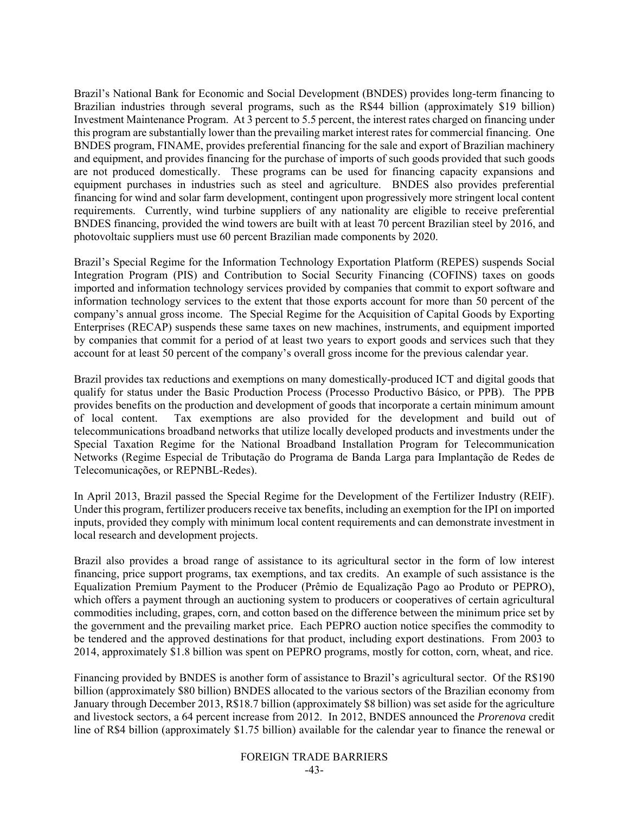Brazil's National Bank for Economic and Social Development (BNDES) provides long-term financing to Brazilian industries through several programs, such as the R\$44 billion (approximately \$19 billion) Investment Maintenance Program. At 3 percent to 5.5 percent, the interest rates charged on financing under this program are substantially lower than the prevailing market interest rates for commercial financing. One BNDES program, FINAME, provides preferential financing for the sale and export of Brazilian machinery and equipment, and provides financing for the purchase of imports of such goods provided that such goods are not produced domestically. These programs can be used for financing capacity expansions and equipment purchases in industries such as steel and agriculture. BNDES also provides preferential financing for wind and solar farm development, contingent upon progressively more stringent local content requirements. Currently, wind turbine suppliers of any nationality are eligible to receive preferential BNDES financing, provided the wind towers are built with at least 70 percent Brazilian steel by 2016, and photovoltaic suppliers must use 60 percent Brazilian made components by 2020.

Brazil's Special Regime for the Information Technology Exportation Platform (REPES) suspends Social Integration Program (PIS) and Contribution to Social Security Financing (COFINS) taxes on goods imported and information technology services provided by companies that commit to export software and information technology services to the extent that those exports account for more than 50 percent of the company's annual gross income. The Special Regime for the Acquisition of Capital Goods by Exporting Enterprises (RECAP) suspends these same taxes on new machines, instruments, and equipment imported by companies that commit for a period of at least two years to export goods and services such that they account for at least 50 percent of the company's overall gross income for the previous calendar year.

Brazil provides tax reductions and exemptions on many domestically-produced ICT and digital goods that qualify for status under the Basic Production Process (Processo Productivo Básico, or PPB). The PPB provides benefits on the production and development of goods that incorporate a certain minimum amount of local content. Tax exemptions are also provided for the development and build out of telecommunications broadband networks that utilize locally developed products and investments under the Special Taxation Regime for the National Broadband Installation Program for Telecommunication Networks (Regime Especial de Tributação do Programa de Banda Larga para Implantação de Redes de Telecomunicações*,* or REPNBL-Redes).

In April 2013, Brazil passed the Special Regime for the Development of the Fertilizer Industry (REIF). Under this program, fertilizer producers receive tax benefits, including an exemption for the IPI on imported inputs, provided they comply with minimum local content requirements and can demonstrate investment in local research and development projects.

Brazil also provides a broad range of assistance to its agricultural sector in the form of low interest financing, price support programs, tax exemptions, and tax credits. An example of such assistance is the Equalization Premium Payment to the Producer (Prêmio de Equalização Pago ao Produto or PEPRO), which offers a payment through an auctioning system to producers or cooperatives of certain agricultural commodities including, grapes, corn, and cotton based on the difference between the minimum price set by the government and the prevailing market price. Each PEPRO auction notice specifies the commodity to be tendered and the approved destinations for that product, including export destinations. From 2003 to 2014, approximately \$1.8 billion was spent on PEPRO programs, mostly for cotton, corn, wheat, and rice.

Financing provided by BNDES is another form of assistance to Brazil's agricultural sector. Of the R\$190 billion (approximately \$80 billion) BNDES allocated to the various sectors of the Brazilian economy from January through December 2013, R\$18.7 billion (approximately \$8 billion) was set aside for the agriculture and livestock sectors, a 64 percent increase from 2012. In 2012, BNDES announced the *Prorenova* credit line of R\$4 billion (approximately \$1.75 billion) available for the calendar year to finance the renewal or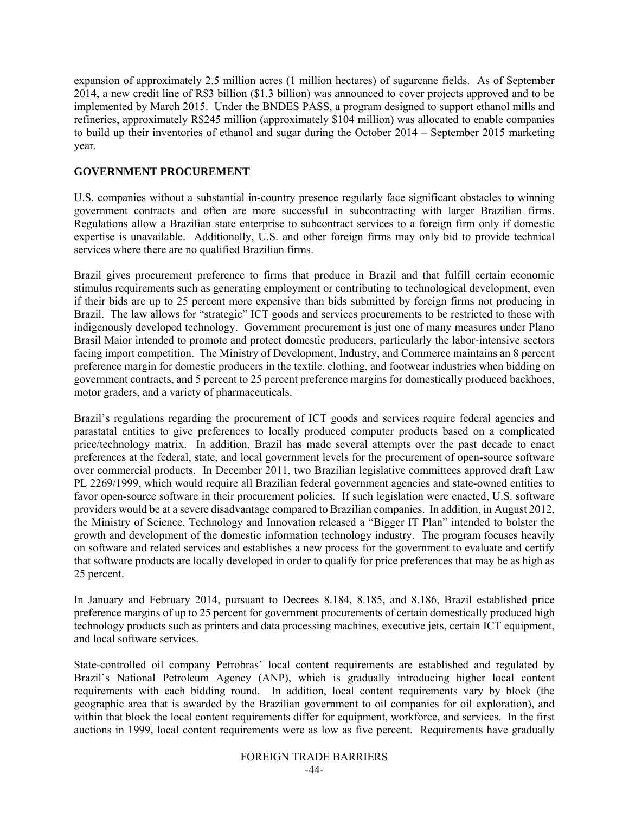expansion of approximately 2.5 million acres (1 million hectares) of sugarcane fields. As of September 2014, a new credit line of R\$3 billion (\$1.3 billion) was announced to cover projects approved and to be implemented by March 2015. Under the BNDES PASS, a program designed to support ethanol mills and refineries, approximately R\$245 million (approximately \$104 million) was allocated to enable companies to build up their inventories of ethanol and sugar during the October 2014 – September 2015 marketing year.

## **GOVERNMENT PROCUREMENT**

U.S. companies without a substantial in-country presence regularly face significant obstacles to winning government contracts and often are more successful in subcontracting with larger Brazilian firms. Regulations allow a Brazilian state enterprise to subcontract services to a foreign firm only if domestic expertise is unavailable. Additionally, U.S. and other foreign firms may only bid to provide technical services where there are no qualified Brazilian firms.

Brazil gives procurement preference to firms that produce in Brazil and that fulfill certain economic stimulus requirements such as generating employment or contributing to technological development, even if their bids are up to 25 percent more expensive than bids submitted by foreign firms not producing in Brazil. The law allows for "strategic" ICT goods and services procurements to be restricted to those with indigenously developed technology. Government procurement is just one of many measures under Plano Brasil Maior intended to promote and protect domestic producers, particularly the labor-intensive sectors facing import competition. The Ministry of Development, Industry, and Commerce maintains an 8 percent preference margin for domestic producers in the textile, clothing, and footwear industries when bidding on government contracts, and 5 percent to 25 percent preference margins for domestically produced backhoes, motor graders, and a variety of pharmaceuticals.

Brazil's regulations regarding the procurement of ICT goods and services require federal agencies and parastatal entities to give preferences to locally produced computer products based on a complicated price/technology matrix. In addition, Brazil has made several attempts over the past decade to enact preferences at the federal, state, and local government levels for the procurement of open-source software over commercial products. In December 2011, two Brazilian legislative committees approved draft Law PL 2269/1999, which would require all Brazilian federal government agencies and state-owned entities to favor open-source software in their procurement policies. If such legislation were enacted, U.S. software providers would be at a severe disadvantage compared to Brazilian companies. In addition, in August 2012, the Ministry of Science, Technology and Innovation released a "Bigger IT Plan" intended to bolster the growth and development of the domestic information technology industry. The program focuses heavily on software and related services and establishes a new process for the government to evaluate and certify that software products are locally developed in order to qualify for price preferences that may be as high as 25 percent.

In January and February 2014, pursuant to Decrees 8.184, 8.185, and 8.186, Brazil established price preference margins of up to 25 percent for government procurements of certain domestically produced high technology products such as printers and data processing machines, executive jets, certain ICT equipment, and local software services.

State-controlled oil company Petrobras' local content requirements are established and regulated by Brazil's National Petroleum Agency (ANP), which is gradually introducing higher local content requirements with each bidding round. In addition, local content requirements vary by block (the geographic area that is awarded by the Brazilian government to oil companies for oil exploration), and within that block the local content requirements differ for equipment, workforce, and services. In the first auctions in 1999, local content requirements were as low as five percent. Requirements have gradually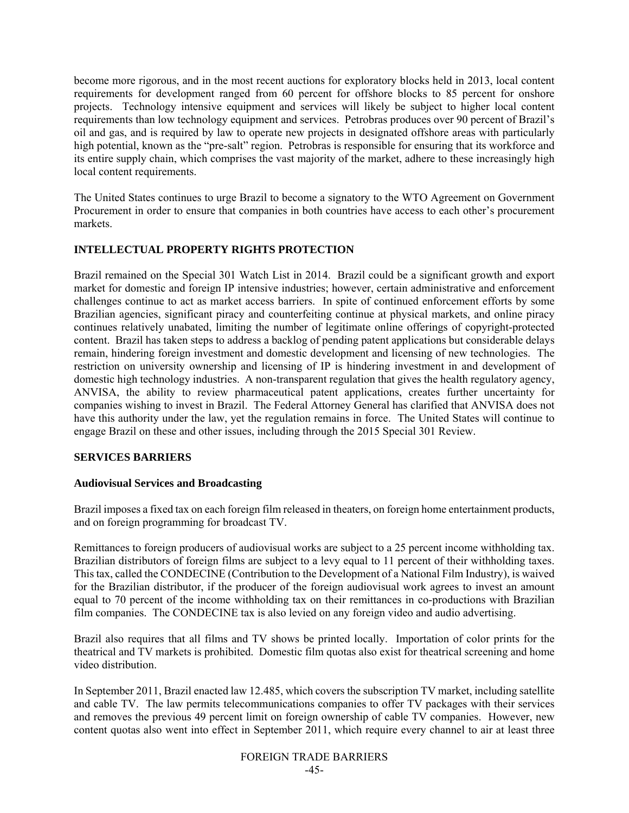become more rigorous, and in the most recent auctions for exploratory blocks held in 2013, local content requirements for development ranged from 60 percent for offshore blocks to 85 percent for onshore projects. Technology intensive equipment and services will likely be subject to higher local content requirements than low technology equipment and services. Petrobras produces over 90 percent of Brazil's oil and gas, and is required by law to operate new projects in designated offshore areas with particularly high potential, known as the "pre-salt" region. Petrobras is responsible for ensuring that its workforce and its entire supply chain, which comprises the vast majority of the market, adhere to these increasingly high local content requirements.

The United States continues to urge Brazil to become a signatory to the WTO Agreement on Government Procurement in order to ensure that companies in both countries have access to each other's procurement markets.

# **INTELLECTUAL PROPERTY RIGHTS PROTECTION**

Brazil remained on the Special 301 Watch List in 2014. Brazil could be a significant growth and export market for domestic and foreign IP intensive industries; however, certain administrative and enforcement challenges continue to act as market access barriers. In spite of continued enforcement efforts by some Brazilian agencies, significant piracy and counterfeiting continue at physical markets, and online piracy continues relatively unabated, limiting the number of legitimate online offerings of copyright-protected content. Brazil has taken steps to address a backlog of pending patent applications but considerable delays remain, hindering foreign investment and domestic development and licensing of new technologies. The restriction on university ownership and licensing of IP is hindering investment in and development of domestic high technology industries. A non-transparent regulation that gives the health regulatory agency, ANVISA, the ability to review pharmaceutical patent applications, creates further uncertainty for companies wishing to invest in Brazil. The Federal Attorney General has clarified that ANVISA does not have this authority under the law, yet the regulation remains in force. The United States will continue to engage Brazil on these and other issues, including through the 2015 Special 301 Review.

## **SERVICES BARRIERS**

## **Audiovisual Services and Broadcasting**

Brazil imposes a fixed tax on each foreign film released in theaters, on foreign home entertainment products, and on foreign programming for broadcast TV.

Remittances to foreign producers of audiovisual works are subject to a 25 percent income withholding tax. Brazilian distributors of foreign films are subject to a levy equal to 11 percent of their withholding taxes. This tax, called the CONDECINE (Contribution to the Development of a National Film Industry), is waived for the Brazilian distributor, if the producer of the foreign audiovisual work agrees to invest an amount equal to 70 percent of the income withholding tax on their remittances in co-productions with Brazilian film companies. The CONDECINE tax is also levied on any foreign video and audio advertising.

Brazil also requires that all films and TV shows be printed locally. Importation of color prints for the theatrical and TV markets is prohibited. Domestic film quotas also exist for theatrical screening and home video distribution.

In September 2011, Brazil enacted law 12.485, which covers the subscription TV market, including satellite and cable TV. The law permits telecommunications companies to offer TV packages with their services and removes the previous 49 percent limit on foreign ownership of cable TV companies. However, new content quotas also went into effect in September 2011, which require every channel to air at least three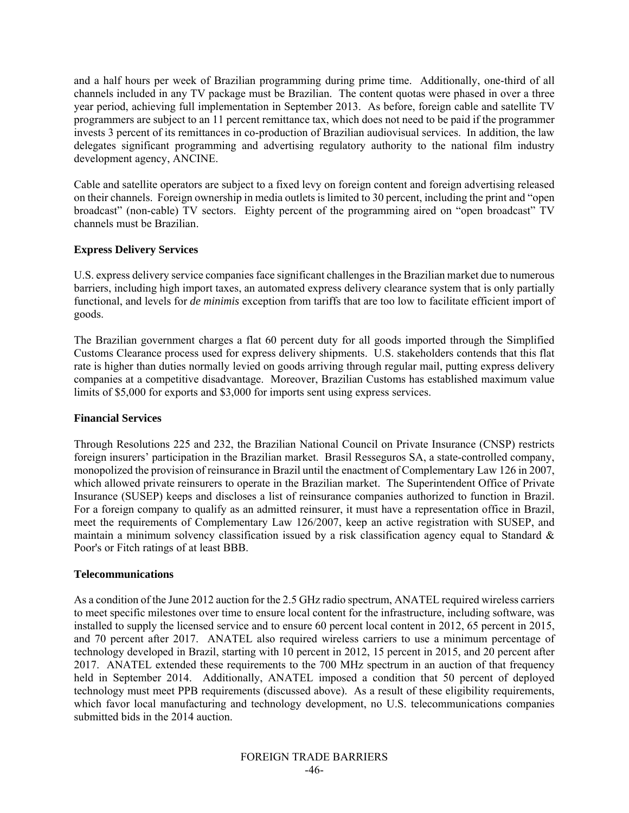and a half hours per week of Brazilian programming during prime time. Additionally, one-third of all channels included in any TV package must be Brazilian. The content quotas were phased in over a three year period, achieving full implementation in September 2013. As before, foreign cable and satellite TV programmers are subject to an 11 percent remittance tax, which does not need to be paid if the programmer invests 3 percent of its remittances in co-production of Brazilian audiovisual services. In addition, the law delegates significant programming and advertising regulatory authority to the national film industry development agency, ANCINE.

Cable and satellite operators are subject to a fixed levy on foreign content and foreign advertising released on their channels. Foreign ownership in media outlets is limited to 30 percent, including the print and "open broadcast" (non-cable) TV sectors. Eighty percent of the programming aired on "open broadcast" TV channels must be Brazilian.

# **Express Delivery Services**

U.S. express delivery service companies face significant challenges in the Brazilian market due to numerous barriers, including high import taxes, an automated express delivery clearance system that is only partially functional, and levels for *de minimis* exception from tariffs that are too low to facilitate efficient import of goods.

The Brazilian government charges a flat 60 percent duty for all goods imported through the Simplified Customs Clearance process used for express delivery shipments. U.S. stakeholders contends that this flat rate is higher than duties normally levied on goods arriving through regular mail, putting express delivery companies at a competitive disadvantage. Moreover, Brazilian Customs has established maximum value limits of \$5,000 for exports and \$3,000 for imports sent using express services.

## **Financial Services**

Through Resolutions 225 and 232, the Brazilian National Council on Private Insurance (CNSP) restricts foreign insurers' participation in the Brazilian market. Brasil Resseguros SA, a state-controlled company, monopolized the provision of reinsurance in Brazil until the enactment of Complementary Law 126 in 2007, which allowed private reinsurers to operate in the Brazilian market. The Superintendent Office of Private Insurance (SUSEP) keeps and discloses a list of reinsurance companies authorized to function in Brazil. For a foreign company to qualify as an admitted reinsurer, it must have a representation office in Brazil, meet the requirements of Complementary Law 126/2007, keep an active registration with SUSEP, and maintain a minimum solvency classification issued by a risk classification agency equal to Standard  $\&$ Poor's or Fitch ratings of at least BBB.

## **Telecommunications**

As a condition of the June 2012 auction for the 2.5 GHz radio spectrum, ANATEL required wireless carriers to meet specific milestones over time to ensure local content for the infrastructure, including software, was installed to supply the licensed service and to ensure 60 percent local content in 2012, 65 percent in 2015, and 70 percent after 2017. ANATEL also required wireless carriers to use a minimum percentage of technology developed in Brazil, starting with 10 percent in 2012, 15 percent in 2015, and 20 percent after 2017. ANATEL extended these requirements to the 700 MHz spectrum in an auction of that frequency held in September 2014. Additionally, ANATEL imposed a condition that 50 percent of deployed technology must meet PPB requirements (discussed above). As a result of these eligibility requirements, which favor local manufacturing and technology development, no U.S. telecommunications companies submitted bids in the 2014 auction